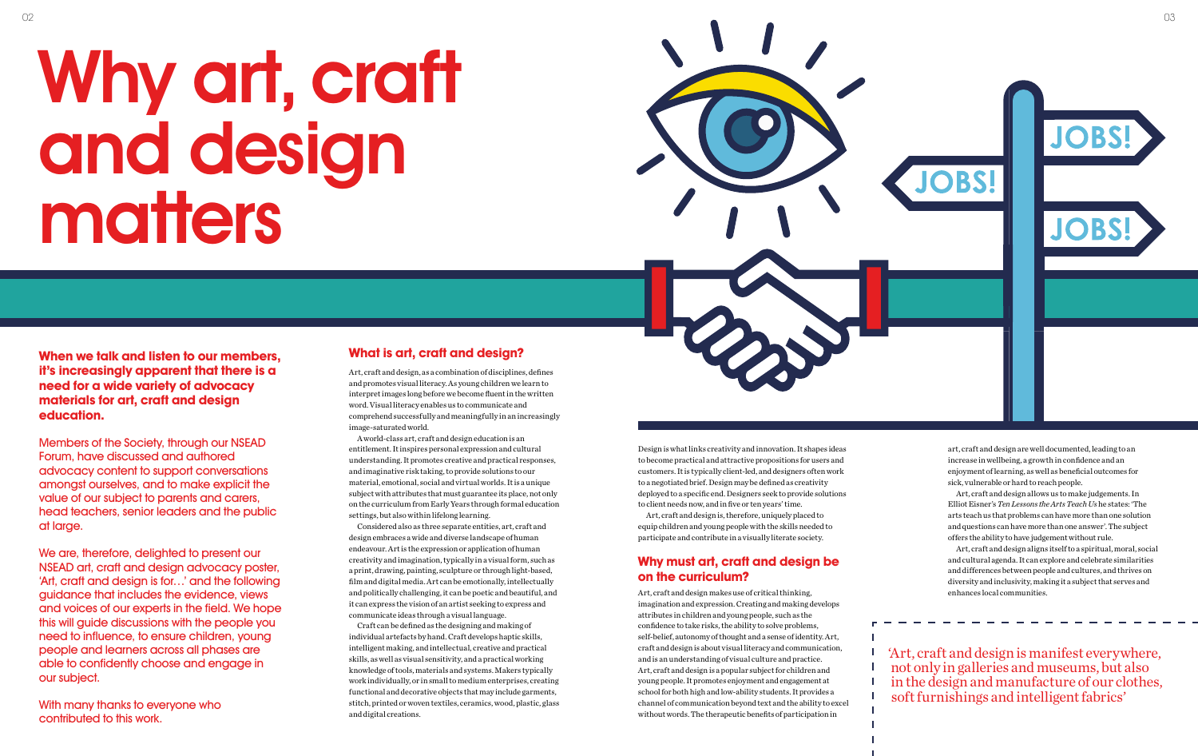# Why art, craft and design matters



T T

**When we talk and listen to our members, it's increasingly apparent that there is a need for a wide variety of advocacy materials for art, craft and design education.**

Members of the Society, through our NSEAD Forum, have discussed and authored advocacy content to support conversations amongst ourselves, and to make explicit the value of our subject to parents and carers, head teachers, senior leaders and the public at large.

We are, therefore, delighted to present our NSEAD art, craft and design advocacy poster, 'Art, craft and design is for…' and the following guidance that includes the evidence, views and voices of our experts in the field. We hope this will guide discussions with the people you need to influence, to ensure children, young people and learners across all phases are able to confidently choose and engage in our subject.

With many thanks to everyone who contributed to this work.

## **What is art, craft and design?**

Art, craft and design, as a combination of disciplines, defines and promotes visual literacy. As young children we learn to interpret images long before we become fluent in the written word. Visual literacy enables us to communicate and comprehend successfully and meaningfully in an increasingly image-saturated world.

A world-class art, craft and design education is an entitlement. It inspires personal expression and cultural understanding. It promotes creative and practical responses, and imaginative risk taking, to provide solutions to our material, emotional, social and virtual worlds. It is a unique subject with attributes that must guarantee its place, not only on the curriculum from Early Years through formal education settings, but also within lifelong learning.

Considered also as three separate entities, art, craft and design embraces a wide and diverse landscape of human endeavour. Art is the expression or application of human creativity and imagination, typically in a visual form, such as a print, drawing, painting, sculpture or through light-based, film and digital media. Art can be emotionally, intellectually and politically challenging, it can be poetic and beautiful, and it can express the vision of an artist seeking to express and communicate ideas through a visual language.

Craft can be defined as the designing and making of individual artefacts by hand. Craft develops haptic skills, intelligent making, and intellectual, creative and practical skills, as well as visual sensitivity, and a practical working knowledge of tools, materials and systems. Makers typically work individually, or in small to medium enterprises, creating functional and decorative objects that may include garments, stitch, printed or woven textiles, ceramics, wood, plastic, glass and digital creations.

Design is what links creativity and innovation. It shapes ideas to become practical and attractive propositions for users and customers. It is typically client-led, and designers often work to a negotiated brief. Design may be defined as creativity deployed to a specific end. Designers seek to provide solutions to client needs now, and in five or ten years' time.

Art, craft and design is, therefore, uniquely placed to equip children and young people with the skills needed to participate and contribute in a visually literate society.

## **Why must art, craft and design be on the curriculum?**

Art, craft and design makes use of critical thinking, imagination and expression. Creating and making develops attributes in children and young people, such as the confidence to take risks, the ability to solve problems, self-belief, autonomy of thought and a sense of identity. Art, craft and design is about visual literacy and communication, and is an understanding of visual culture and practice. Art, craft and design is a popular subject for children and young people. It promotes enjoyment and engagement at school for both high and low-ability students. It provides a channel of communication beyond text and the ability to excel without words. The therapeutic benefits of participation in

art, craft and design are well documented, leading to an increase in wellbeing, a growth in confidence and an enjoyment of learning, as well as beneficial outcomes for sick, vulnerable or hard to reach people.

Art, craft and design allows us to make judgements. In Elliot Eisner's *Ten Lessons the Arts Teach Us* he states: 'The arts teach us that problems can have more than one solution and questions can have more than one answer'. The subject offers the ability to have judgement without rule.

Art, craft and design aligns itself to a spiritual, moral, social and cultural agenda. It can explore and celebrate similarities and differences between people and cultures, and thrives on diversity and inclusivity, making it a subject that serves and enhances local communities.

'Art, craft and design is manifest everywhere, not only in galleries and museums, but also in the design and manufacture of our clothes, soft furnishings and intelligent fabrics'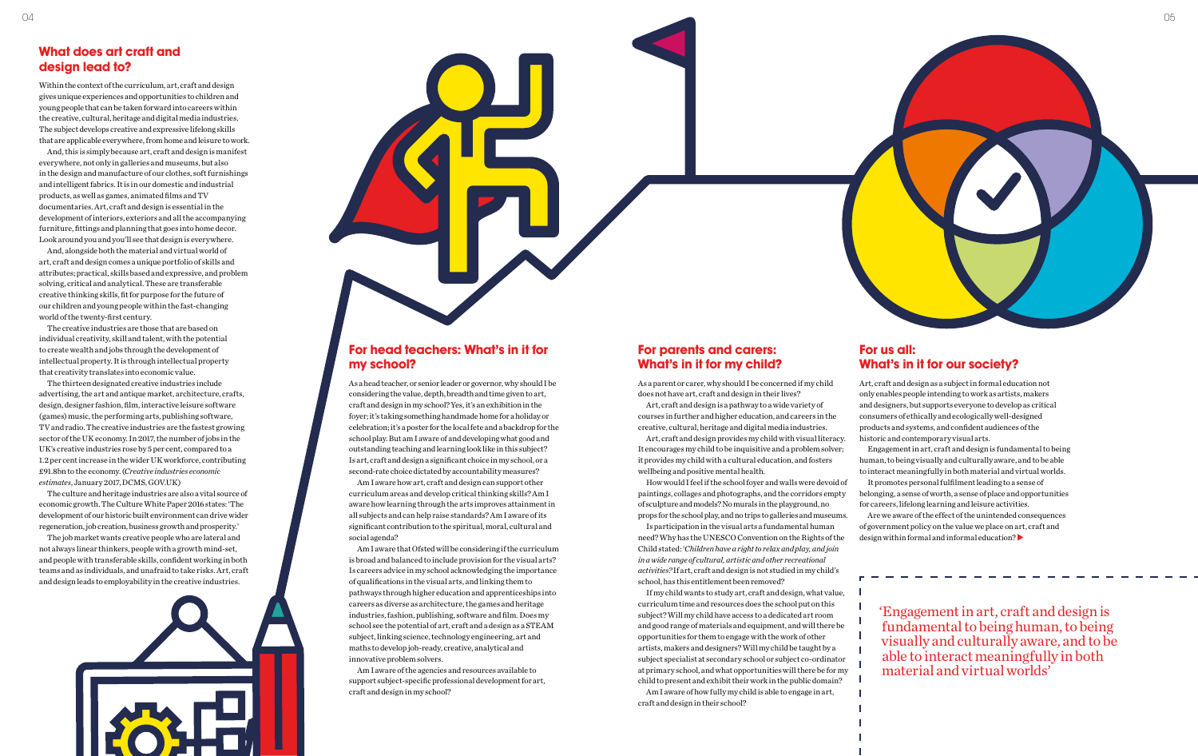

## **What does art craft and design lead to?**

Within the context of the curriculum, art, craft and design gives unique experiences and opportunities to children and young people that can be taken forward into careers within the creative, cultural, heritage and digital media industries. The subject develops creative and expressive lifelong skills that are applicable everywhere, from home and leisure to work.

And, this is simply because art, craft and design is manifest everywhere, not only in galleries and museums, but also in the design and manufacture of our clothes, soft furnishings and intelligent fabrics. It is in our domestic and industrial products, as well as games, animated films and TV documentaries. Art, craft and design is essential in the development of interiors, exteriors and all the accompanying furniture, fittings and planning that goes into home decor. Look around you and you'll see that design is everywhere.

And, alongside both the material and virtual world of art, craft and design comes a unique portfolio of skills and attributes; practical, skills based and expressive, and problem solving, critical and analytical. These are transferable creative thinking skills, fit for purpose for the future of our children and young people within the fast-changing world of the twenty-first century.

The creative industries are those that are based on individual creativity, skill and talent, with the potential to create wealth and jobs through the development of intellectual property. It is through intellectual property that creativity translates into economic value.

The thirteen designated creative industries include advertising, the art and antique market, architecture, crafts, design, designer fashion, film, interactive leisure software (games) music, the performing arts, publishing software, TV and radio. The creative industries are the fastest growing sector of the UK economy. In 2017, the number of jobs in the UK's creative industries rose by 5 per cent, compared to a 1.2 per cent increase in the wider UK workforce, contributing £91.8bn to the economy. (*Creative industries economic estimates*, January 2017, DCMS, GOV.UK)

The culture and heritage industries are also a vital source of economic growth. The Culture White Paper 2016 states: 'The development of our historic built environment can drive wider regeneration, job creation, business growth and prosperity.'

The job market wants creative people who are lateral and not always linear thinkers, people with a growth mind-set, and people with transferable skills, confident working in both teams and as individuals, and unafraid to take risks. Art, craft and design leads to employability in the creative industries.



## **For parents and carers: What's in it for my child?**

As a parent or carer, why should I be concerned if my child does not have art, craft and design in their lives?

Art, craft and design is a pathway to a wide variety of courses in further and higher education, and careers in the creative, cultural, heritage and digital media industries.

Art, craft and design provides my child with visual literacy. It encourages my child to be inquisitive and a problem solver; it provides my child with a cultural education, and fosters wellbeing and positive mental health.

How would I feel if the school foyer and walls were devoid of paintings, collages and photographs, and the corridors empty of sculpture and models? No murals in the playground, no props for the school play, and no trips to galleries and museums.

Are we aware of the effect of the unintended consequences of government policy on the value we place on art, craft and design within formal and informal education? $\blacktriangleright$ 

Is participation in the visual arts a fundamental human need? Why has the UNESCO Convention on the Rights of the Child stated: '*Children have a right to relax and play, and join in a wide range of cultural, artistic and other recreational activities?* If art, craft and design is not studied in my child's school, has this entitlement been removed?

If my child wants to study art, craft and design, what value, curriculum time and resources does the school put on this subject? Will my child have access to a dedicated art room and good range of materials and equipment, and will there be opportunities for them to engage with the work of other artists, makers and designers? Will my child be taught by a subject specialist at secondary school or subject co-ordinator at primary school, and what opportunities will there be for my child to present and exhibit their work in the public domain? Am I aware of how fully my child is able to engage in art, craft and design in their school?

## **For head teachers: What's in it for my school?**

As a head teacher, or senior leader or governor, why should I be considering the value, depth, breadth and time given to art, craft and design in my school? Yes, it's an exhibition in the foyer; it's taking something handmade home for a holiday or celebration; it's a poster for the local fete and a backdrop for the school play. But am I aware of and developing what good and outstanding teaching and learning look like in this subject? Is art, craft and design a significant choice in my school, or a second-rate choice dictated by accountability measures?

Am I aware how art, craft and design can support other curriculum areas and develop critical thinking skills? Am I aware how learning through the arts improves attainment in all subjects and can help raise standards? Am I aware of its significant contribution to the spiritual, moral, cultural and social agenda?

Am I aware that Ofsted will be considering if the curriculum is broad and balanced to include provision for the visual arts? Is careers advice in my school acknowledging the importance of qualifications in the visual arts, and linking them to pathways through higher education and apprenticeships into careers as diverse as architecture, the games and heritage industries, fashion, publishing, software and film. Does my school see the potential of art, craft and a design as a STEAM subject, linking science, technology engineering, art and maths to develop job-ready, creative, analytical and innovative problem solvers.

Am I aware of the agencies and resources available to support subject-specific professional development for art, craft and design in my school?

'Engagement in art, craft and design is fundamental to being human, to being visually and culturally aware, and to be able to interact meaningfully in both material and virtual worlds'

## **For us all: What's in it for our society?**

Art, craft and design as a subject in formal education not only enables people intending to work as artists, makers and designers, but supports everyone to develop as critical consumers of ethically and ecologically well-designed products and systems, and confident audiences of the historic and contemporary visual arts.

Engagement in art, craft and design is fundamental to being human, to being visually and culturally aware, and to be able

to interact meaningfully in both material and virtual worlds. It promotes personal fulfilment leading to a sense of belonging, a sense of worth, a sense of place and opportunities for careers, lifelong learning and leisure activities.